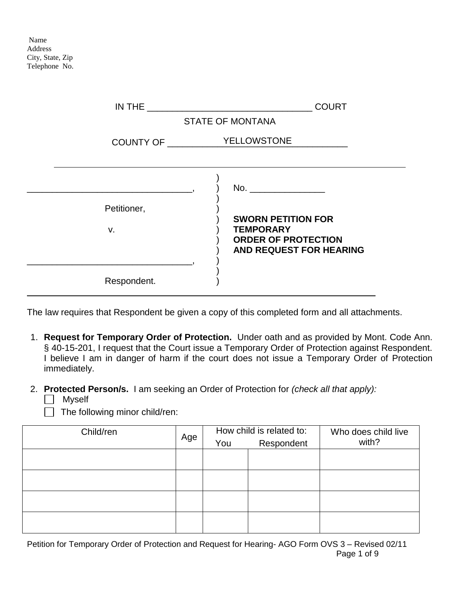Name Address City, State, Zip Telephone No.

|                                       | <b>COURT</b>                                                                                           |
|---------------------------------------|--------------------------------------------------------------------------------------------------------|
|                                       | <b>STATE OF MONTANA</b>                                                                                |
| COUNTY OF _______________ YELLOWSTONE |                                                                                                        |
|                                       |                                                                                                        |
|                                       |                                                                                                        |
| Petitioner,                           |                                                                                                        |
| v.                                    | <b>SWORN PETITION FOR</b><br><b>TEMPORARY</b><br><b>ORDER OF PROTECTION</b><br>AND REQUEST FOR HEARING |
| Respondent.                           |                                                                                                        |

The law requires that Respondent be given a copy of this completed form and all attachments.

- 1. **Request for Temporary Order of Protection.** Under oath and as provided by Mont. Code Ann. § 40-15-201, I request that the Court issue a Temporary Order of Protection against Respondent. I believe I am in danger of harm if the court does not issue a Temporary Order of Protection immediately.
- 2. **Protected Person/s.** I am seeking an Order of Protection for *(check all that apply):*
	- **Myself**

 $\Box$  The following minor child/ren:

| Child/ren |     |     | How child is related to: | Who does child live |  |
|-----------|-----|-----|--------------------------|---------------------|--|
|           | Age | You | Respondent               | with?               |  |
|           |     |     |                          |                     |  |
|           |     |     |                          |                     |  |
|           |     |     |                          |                     |  |
|           |     |     |                          |                     |  |
|           |     |     |                          |                     |  |
|           |     |     |                          |                     |  |
|           |     |     |                          |                     |  |
|           |     |     |                          |                     |  |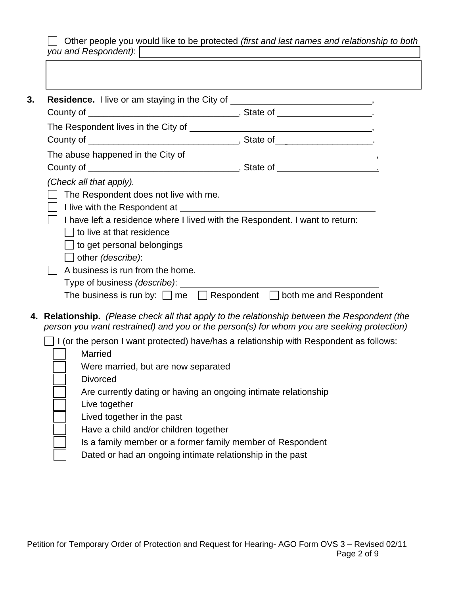Other people you would like to be protected *(first and last names and relationship to both you and Respondent)*:

|                                              | Residence. I live or am staying in the City of ________________________________,                                                                                                           |
|----------------------------------------------|--------------------------------------------------------------------------------------------------------------------------------------------------------------------------------------------|
|                                              |                                                                                                                                                                                            |
|                                              |                                                                                                                                                                                            |
|                                              |                                                                                                                                                                                            |
|                                              |                                                                                                                                                                                            |
| (Check all that apply).                      |                                                                                                                                                                                            |
| The Respondent does not live with me.        |                                                                                                                                                                                            |
|                                              |                                                                                                                                                                                            |
|                                              | I have left a residence where I lived with the Respondent. I want to return:                                                                                                               |
| $\vert\,\,\,\vert$ to live at that residence |                                                                                                                                                                                            |
| $\Box$ to get personal belongings            |                                                                                                                                                                                            |
|                                              |                                                                                                                                                                                            |
| A business is run from the home.             |                                                                                                                                                                                            |
|                                              |                                                                                                                                                                                            |
|                                              | The business is run by: $\Box$ me $\Box$ Respondent $\Box$ both me and Respondent                                                                                                          |
|                                              | 4. Relationship. (Please check all that apply to the relationship between the Respondent (the<br>person you want restrained) and you or the person(s) for whom you are seeking protection) |
|                                              | $\perp$ I (or the person I want protected) have/has a relationship with Respondent as follows:                                                                                             |
| <b>Married</b>                               |                                                                                                                                                                                            |
| Were married, but are now separated          |                                                                                                                                                                                            |
| <b>Divorced</b>                              |                                                                                                                                                                                            |
|                                              | Are currently dating or having an ongoing intimate relationship                                                                                                                            |
| Live together                                |                                                                                                                                                                                            |
| Lived together in the past                   |                                                                                                                                                                                            |
| Have a child and/or children together        |                                                                                                                                                                                            |
|                                              | Is a family member or a former family member of Respondent                                                                                                                                 |
|                                              | Dated or had an ongoing intimate relationship in the past                                                                                                                                  |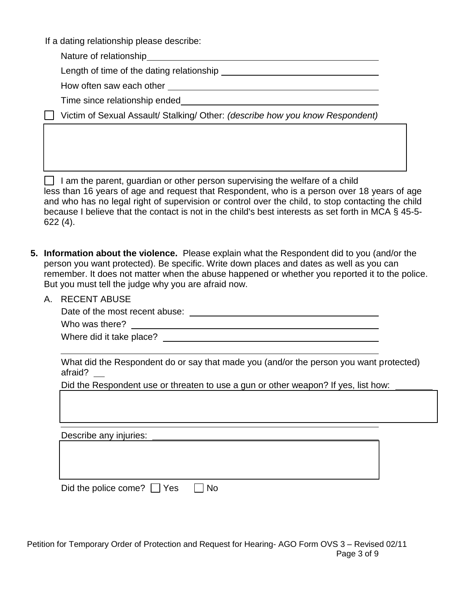If a dating relationship please describe:

Nature of relationship

Length of time of the dating relationship

How often saw each other

Time since relationship ended

Victim of Sexual Assault/ Stalking/ Other: *(describe how you know Respondent)*

 $\vert \ \vert$  I am the parent, guardian or other person supervising the welfare of a child less than 16 years of age and request that Respondent, who is a person over 18 years of age and who has no legal right of supervision or control over the child, to stop contacting the child because I believe that the contact is not in the child's best interests as set forth in MCA § 45-5- 622 (4).

- **5. Information about the violence.** Please explain what the Respondent did to you (and/or the person you want protected). Be specific. Write down places and dates as well as you can remember. It does not matter when the abuse happened or whether you reported it to the police. But you must tell the judge why you are afraid now.
	- A. RECENT ABUSE

Date of the most recent abuse:

Who was there?

Where did it take place?

What did the Respondent do or say that made you (and/or the person you want protected) afraid?

Did the Respondent use or threaten to use a gun or other weapon? If yes, list how:

Describe any injuries: \_

Did the police come?  $\Box$  Yes  $\Box$  No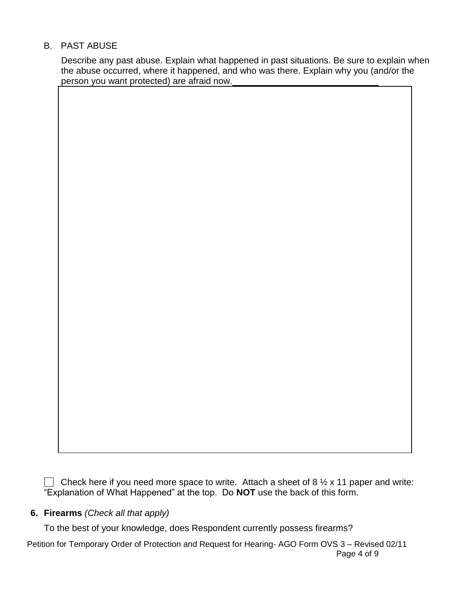### B. PAST ABUSE

Describe any past abuse. Explain what happened in past situations. Be sure to explain when the abuse occurred, where it happened, and who was there. Explain why you (and/or the person you want protected) are afraid now.

Check here if you need more space to write. Attach a sheet of 8  $\frac{1}{2}$  x 11 paper and write: "Explanation of What Happened" at the top. Do **NOT** use the back of this form.

### **6. Firearms** *(Check all that apply)*

To the best of your knowledge, does Respondent currently possess firearms?

Petition for Temporary Order of Protection and Request for Hearing- AGO Form OVS 3 – Revised 02/11 Page 4 of 9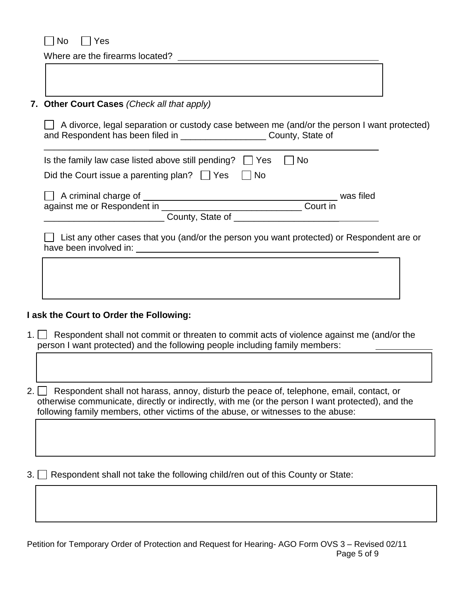$\Box$  No  $\Box$  Yes

 $\Gamma$ 

Where are the firearms located?

| 7. Other Court Cases (Check all that apply)                                                                                                                                                                                                                          |           |  |
|----------------------------------------------------------------------------------------------------------------------------------------------------------------------------------------------------------------------------------------------------------------------|-----------|--|
| A divorce, legal separation or custody case between me (and/or the person I want protected)<br>and Respondent has been filed in _________________________County, State of                                                                                            |           |  |
| Is the family law case listed above still pending? $\vert \vert$ Yes<br><b>No</b>                                                                                                                                                                                    |           |  |
| Did the Court issue a parenting plan? $\vert \vert$ Yes $\vert \vert$ No                                                                                                                                                                                             |           |  |
| A criminal charge of                                                                                                                                                                                                                                                 | was filed |  |
| against me or Respondent in <b>container the contract of the set of the contract of the contract of the contract of the contract of the contract of the contract of the contract of the contract of the contract of the contract</b><br>Court in<br>County, State of |           |  |

□ List any other cases that you (and/or the person you want protected) or Respondent are or have been involved in:

#### **I ask the Court to Order the Following:**

1. **Respondent shall not commit or threaten to commit acts of violence against me (and/or the** person I want protected) and the following people including family members:

2.  $\Box$  Respondent shall not harass, annoy, disturb the peace of, telephone, email, contact, or otherwise communicate, directly or indirectly, with me (or the person I want protected), and the following family members, other victims of the abuse, or witnesses to the abuse:

 $3.$  Respondent shall not take the following child/ren out of this County or State: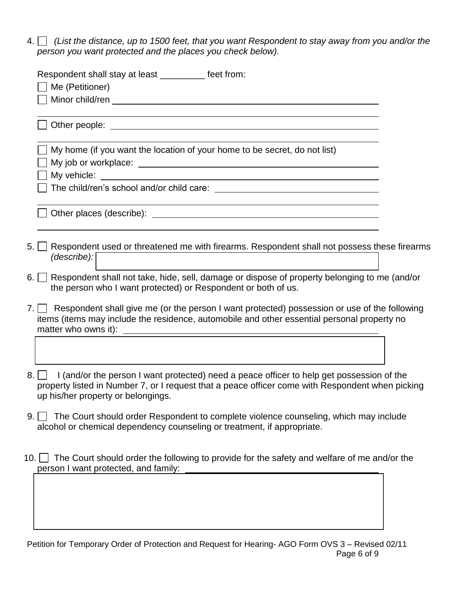4. *(List the distance, up to 1500 feet, that you want Respondent to stay away from you and/or the person you want protected and the places you check below).* 

| Respondent shall stay at least ___________ feet from:<br>Me (Petitioner)                                                                                                                                                                   |  |
|--------------------------------------------------------------------------------------------------------------------------------------------------------------------------------------------------------------------------------------------|--|
|                                                                                                                                                                                                                                            |  |
| Other people: example and the state of the state of the state of the state of the state of the state of the state of the state of the state of the state of the state of the state of the state of the state of the state of t             |  |
| My home (if you want the location of your home to be secret, do not list)                                                                                                                                                                  |  |
|                                                                                                                                                                                                                                            |  |
|                                                                                                                                                                                                                                            |  |
| 5. Respondent used or threatened me with firearms. Respondent shall not possess these firearms<br>(describe):                                                                                                                              |  |
| 6. Respondent shall not take, hide, sell, damage or dispose of property belonging to me (and/or<br>the person who I want protected) or Respondent or both of us.                                                                           |  |
| 7. Respondent shall give me (or the person I want protected) possession or use of the following<br>items (items may include the residence, automobile and other essential personal property no                                             |  |
|                                                                                                                                                                                                                                            |  |
| 8.     I (and/or the person I want protected) need a peace officer to help get possession of the<br>property listed in Number 7, or I request that a peace officer come with Respondent when picking<br>up his/her property or belongings. |  |
|                                                                                                                                                                                                                                            |  |

- 9. The Court should order Respondent to complete violence counseling, which may include alcohol or chemical dependency counseling or treatment, if appropriate.
- 10. The Court should order the following to provide for the safety and welfare of me and/or the person I want protected, and family:

Petition for Temporary Order of Protection and Request for Hearing- AGO Form OVS 3 – Revised 02/11 Page 6 of 9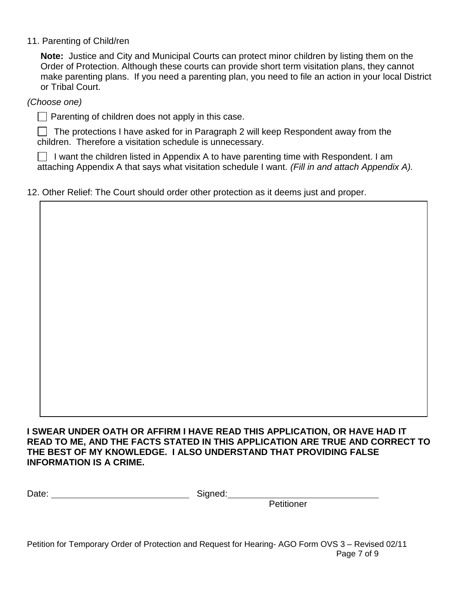11. Parenting of Child/ren

**Note:** Justice and City and Municipal Courts can protect minor children by listing them on the Order of Protection. Although these courts can provide short term visitation plans, they cannot make parenting plans. If you need a parenting plan, you need to file an action in your local District or Tribal Court.

*(Choose one)*

 $\Box$  Parenting of children does not apply in this case.

 $\Box$  The protections I have asked for in Paragraph 2 will keep Respondent away from the children. Therefore a visitation schedule is unnecessary.

I want the children listed in Appendix A to have parenting time with Respondent. I am attaching Appendix A that says what visitation schedule I want. *(Fill in and attach Appendix A).* 

### 12. Other Relief: The Court should order other protection as it deems just and proper.

**I SWEAR UNDER OATH OR AFFIRM I HAVE READ THIS APPLICATION, OR HAVE HAD IT READ TO ME, AND THE FACTS STATED IN THIS APPLICATION ARE TRUE AND CORRECT TO THE BEST OF MY KNOWLEDGE. I ALSO UNDERSTAND THAT PROVIDING FALSE INFORMATION IS A CRIME.**

| Date: | Signed: |
|-------|---------|
|       |         |

**Petitioner** 

Petition for Temporary Order of Protection and Request for Hearing- AGO Form OVS 3 – Revised 02/11 Page 7 of 9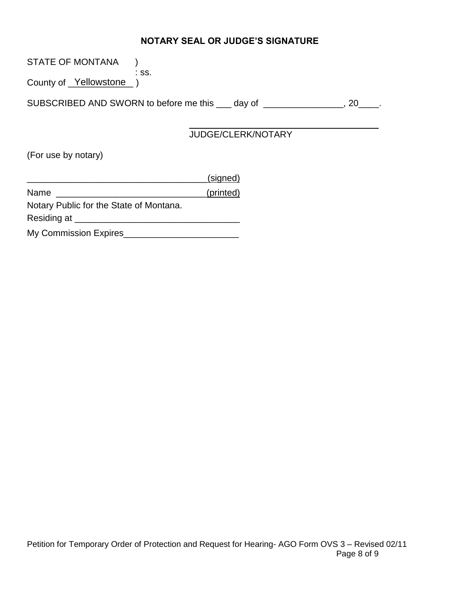# **NOTARY SEAL OR JUDGE'S SIGNATURE**

| STATE OF MONTANA             |                                                              |           |
|------------------------------|--------------------------------------------------------------|-----------|
| County of <u>Yellowstone</u> | :SS.                                                         |           |
|                              | SUBSCRIBED AND SWORN to before me this ___ day of __________ | <b>20</b> |
|                              | <b>JUDGE/CLERK/NOTARY</b>                                    |           |
| (For use by notary)          |                                                              |           |

|                                         | (signed)  |
|-----------------------------------------|-----------|
| Name                                    | (printed) |
| Notary Public for the State of Montana. |           |
| Residing at _____                       |           |
| My Commission Expires                   |           |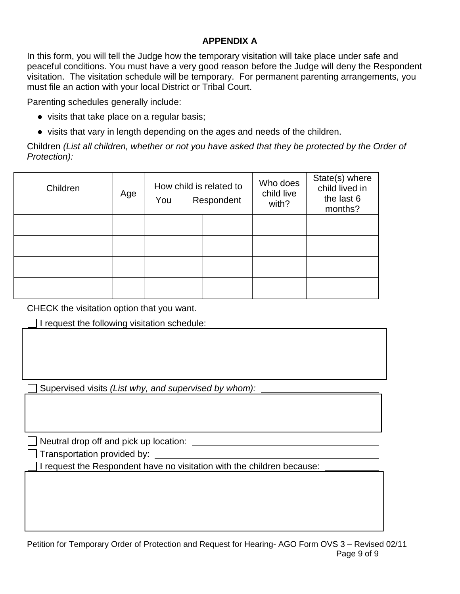## **APPENDIX A**

In this form, you will tell the Judge how the temporary visitation will take place under safe and peaceful conditions. You must have a very good reason before the Judge will deny the Respondent visitation. The visitation schedule will be temporary. For permanent parenting arrangements, you must file an action with your local District or Tribal Court.

Parenting schedules generally include:

- visits that take place on a regular basis;
- visits that vary in length depending on the ages and needs of the children.

Children *(List all children, whether or not you have asked that they be protected by the Order of Protection):*

| Children | Age | How child is related to<br>You | Respondent | Who does<br>child live<br>with? | State(s) where<br>child lived in<br>the last 6<br>months? |
|----------|-----|--------------------------------|------------|---------------------------------|-----------------------------------------------------------|
|          |     |                                |            |                                 |                                                           |
|          |     |                                |            |                                 |                                                           |
|          |     |                                |            |                                 |                                                           |
|          |     |                                |            |                                 |                                                           |

CHECK the visitation option that you want.

 $\Box$  I request the following visitation schedule:

Supervised visits *(List why, and supervised by whom):*

Neutral drop off and pick up location: Neutral Meutral Division in the state of the state of the state of the state of the state of the state of the state of the state of the state of the state of the state of the state of

Transportation provided by:

I request the Respondent have no visitation with the children because: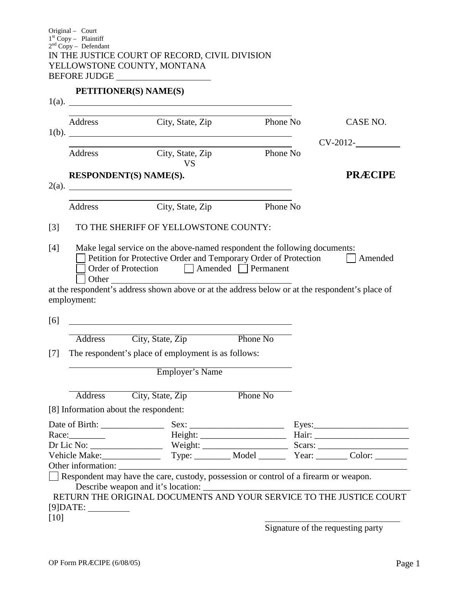#### **PETITIONER(S) NAME(S)**

|                                       | Address City, State, Zip                                                                                                                                                              | Phone No |       | CASE NO.                                                       |
|---------------------------------------|---------------------------------------------------------------------------------------------------------------------------------------------------------------------------------------|----------|-------|----------------------------------------------------------------|
|                                       | 1(b).                                                                                                                                                                                 |          |       | $CV-2012$ - $\qquad \qquad$                                    |
| Address                               | City, State, Zip<br><b>VS</b>                                                                                                                                                         | Phone No |       |                                                                |
| RESPONDENT(S) NAME(S).                | 2(a).                                                                                                                                                                                 |          |       | <b>PRÆCIPE</b>                                                 |
| Address                               | City, State, Zip                                                                                                                                                                      | Phone No |       |                                                                |
|                                       | TO THE SHERIFF OF YELLOWSTONE COUNTY:                                                                                                                                                 |          |       |                                                                |
| Other                                 | Make legal service on the above-named respondent the following documents:<br>Petition for Protective Order and Temporary Order of Protection<br>Order of Protection Amended Permanent |          |       | Amended                                                        |
|                                       |                                                                                                                                                                                       |          |       |                                                                |
|                                       | at the respondent's address shown above or at the address below or at the respondent's place of                                                                                       |          |       |                                                                |
| employment:                           | <u> 1980 - Johann Barn, mars ann an t-Amhain Aonaich an t-Aonaich an t-Aonaich ann an t-Aonaich ann an t-Aonaich</u>                                                                  |          |       |                                                                |
|                                       |                                                                                                                                                                                       | Phone No |       |                                                                |
|                                       | Address City, State, Zip<br>The respondent's place of employment is as follows:                                                                                                       |          |       |                                                                |
|                                       | <b>Employer's Name</b>                                                                                                                                                                |          |       |                                                                |
|                                       | Address City, State, Zip                                                                                                                                                              | Phone No |       |                                                                |
| [8] Information about the respondent: |                                                                                                                                                                                       |          |       |                                                                |
|                                       |                                                                                                                                                                                       |          | Eyes: |                                                                |
| Race:                                 |                                                                                                                                                                                       |          |       |                                                                |
|                                       |                                                                                                                                                                                       |          |       |                                                                |
| Vehicle Make:                         |                                                                                                                                                                                       |          |       | Type: _________ Model _________ Year: ________ Color: ________ |
|                                       |                                                                                                                                                                                       |          |       |                                                                |
|                                       | Respondent may have the care, custody, possession or control of a firearm or weapon.                                                                                                  |          |       |                                                                |

Signature of the requesting party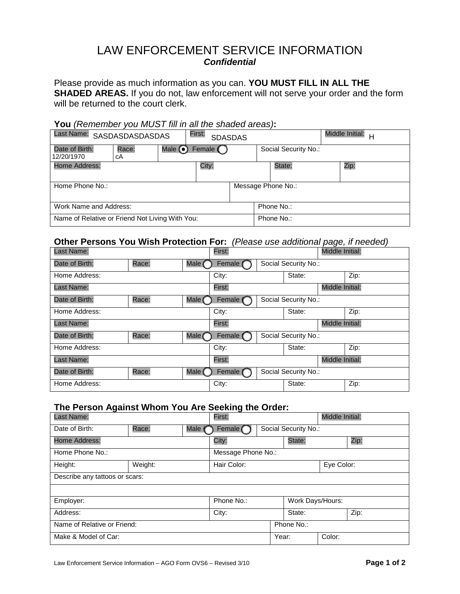# LAW ENFORCEMENT SERVICE INFORMATION *Confidential*

Please provide as much information as you can. **YOU MUST FILL IN ALL THE SHADED AREAS.** If you do not, law enforcement will not serve your order and the form will be returned to the court clerk.

#### **You** *(Remember you MUST fill in all the shaded areas)***:**

| Last Name: SASDASDASDASDAS                      |             |              | First:<br><b>SDASDAS</b> |                    |                      | <b>Middle Initial:</b><br>H |  |
|-------------------------------------------------|-------------|--------------|--------------------------|--------------------|----------------------|-----------------------------|--|
| Date of Birth:<br>12/20/1970                    | Race:<br>cА | Male $\odot$ | Female (                 |                    | Social Security No.: |                             |  |
| Home Address:                                   |             |              | City:                    |                    | State:               | Zip:                        |  |
| Home Phone No.:                                 |             |              |                          | Message Phone No.: |                      |                             |  |
| Work Name and Address:                          | Phone No.:  |              |                          |                    |                      |                             |  |
| Name of Relative or Friend Not Living With You: |             |              |                          |                    | Phone No.:           |                             |  |

#### **Other Persons You Wish Protection For:** *(Please use additional page, if needed)*

| Last Name:     |                 |        | First:                           |                                  |                 | Middle Initial: |      |
|----------------|-----------------|--------|----------------------------------|----------------------------------|-----------------|-----------------|------|
| Date of Birth: | Race:           | Male   | Social Security No.:<br>Female ( |                                  |                 |                 |      |
| Home Address:  |                 |        | City:                            |                                  | State:          |                 | Zip: |
| Last Name:     |                 |        | First:                           |                                  |                 | Middle Initial: |      |
| Date of Birth: | Race:           | Male ( | Social Security No.:<br>Female   |                                  |                 |                 |      |
| Home Address:  |                 |        | City:                            |                                  | State:          |                 | Zip: |
| Last Name:     |                 |        | First:                           |                                  |                 | Middle Initial: |      |
| Date of Birth: | Race:           | Male ( | Social Security No.:<br>Female   |                                  |                 |                 |      |
| Home Address:  |                 |        | City:                            |                                  | State:          |                 | Zip: |
| Last Name:     |                 |        | First:                           |                                  | Middle Initial: |                 |      |
| Date of Birth: | Male (<br>Race: |        |                                  | Female (<br>Social Security No.: |                 |                 |      |
| Home Address:  |                 |        | City:                            |                                  | State:          |                 | Zip: |

#### **The Person Against Whom You Are Seeking the Order:**

| Last Name:                     |         |        | First:                           |  |        | Middle Initial:  |      |  |
|--------------------------------|---------|--------|----------------------------------|--|--------|------------------|------|--|
| Date of Birth:                 | Race:   | Male ( | Female (<br>Social Security No.: |  |        |                  |      |  |
| Home Address:                  |         |        | City:                            |  | State: |                  | Zip: |  |
| Home Phone No.:                |         |        | Message Phone No.:               |  |        |                  |      |  |
| Height:                        | Weight: |        | Hair Color:                      |  |        | Eye Color:       |      |  |
| Describe any tattoos or scars: |         |        |                                  |  |        |                  |      |  |
|                                |         |        |                                  |  |        |                  |      |  |
| Employer:                      |         |        | Phone No.:                       |  |        | Work Days/Hours: |      |  |
| Address:                       |         |        | City:<br>State:                  |  |        | Zip:             |      |  |
| Name of Relative or Friend:    |         |        | Phone No.:                       |  |        |                  |      |  |
| Make & Model of Car:           |         |        |                                  |  | Year:  | Color:           |      |  |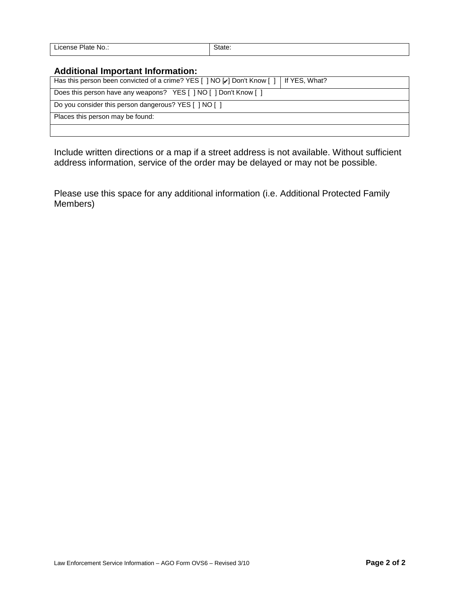| License Plate No.: | State. |
|--------------------|--------|

#### **Additional Important Information:**

| Has this person been convicted of a crime? YES [ ] NO [ ] Don't Know [ ]   If YES, What? |  |
|------------------------------------------------------------------------------------------|--|
| Does this person have any weapons? YES [ ] NO [ ] Don't Know [ ]                         |  |
| Do you consider this person dangerous? YES [ ] NO [ ]                                    |  |
| Places this person may be found:                                                         |  |
|                                                                                          |  |

Include written directions or a map if a street address is not available. Without sufficient address information, service of the order may be delayed or may not be possible.

Please use this space for any additional information (i.e. Additional Protected Family Members)